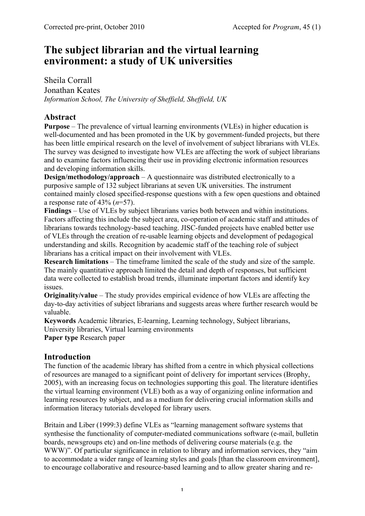# **The subject librarian and the virtual learning environment: a study of UK universities**

Sheila Corrall Jonathan Keates *Information School, The University of Sheffield, Sheffield, UK*

# **Abstract**

**Purpose** – The prevalence of virtual learning environments (VLEs) in higher education is well-documented and has been promoted in the UK by government-funded projects, but there has been little empirical research on the level of involvement of subject librarians with VLEs. The survey was designed to investigate how VLEs are affecting the work of subject librarians and to examine factors influencing their use in providing electronic information resources and developing information skills.

**Design/methodology/approach** – A questionnaire was distributed electronically to a purposive sample of 132 subject librarians at seven UK universities. The instrument contained mainly closed specified-response questions with a few open questions and obtained a response rate of 43% (*n*=57).

**Findings** – Use of VLEs by subject librarians varies both between and within institutions. Factors affecting this include the subject area, co-operation of academic staff and attitudes of librarians towards technology-based teaching. JISC-funded projects have enabled better use of VLEs through the creation of re-usable learning objects and development of pedagogical understanding and skills. Recognition by academic staff of the teaching role of subject librarians has a critical impact on their involvement with VLEs.

**Research limitations** – The timeframe limited the scale of the study and size of the sample. The mainly quantitative approach limited the detail and depth of responses, but sufficient data were collected to establish broad trends, illuminate important factors and identify key issues.

**Originality/value** – The study provides empirical evidence of how VLEs are affecting the day-to-day activities of subject librarians and suggests areas where further research would be valuable.

**Keywords** Academic libraries, E-learning, Learning technology, Subject librarians, University libraries, Virtual learning environments

**Paper type** Research paper

# **Introduction**

The function of the academic library has shifted from a centre in which physical collections of resources are managed to a significant point of delivery for important services (Brophy, 2005), with an increasing focus on technologies supporting this goal. The literature identifies the virtual learning environment (VLE) both as a way of organizing online information and learning resources by subject, and as a medium for delivering crucial information skills and information literacy tutorials developed for library users.

Britain and Liber (1999:3) define VLEs as "learning management software systems that synthesise the functionality of computer-mediated communications software (e-mail, bulletin boards, newsgroups etc) and on-line methods of delivering course materials (e.g. the WWW)". Of particular significance in relation to library and information services, they "aim to accommodate a wider range of learning styles and goals [than the classroom environment], to encourage collaborative and resource-based learning and to allow greater sharing and re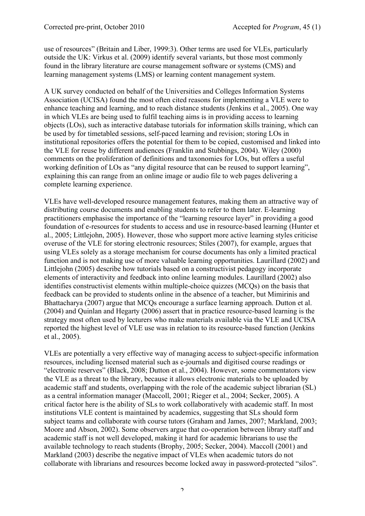use of resources" (Britain and Liber, 1999:3). Other terms are used for VLEs, particularly outside the UK: Virkus et al. (2009) identify several variants, but those most commonly found in the library literature are course management software or systems (CMS) and learning management systems (LMS) or learning content management system.

A UK survey conducted on behalf of the Universities and Colleges Information Systems Association (UCISA) found the most often cited reasons for implementing a VLE were to enhance teaching and learning, and to reach distance students (Jenkins et al., 2005). One way in which VLEs are being used to fulfil teaching aims is in providing access to learning objects (LOs), such as interactive database tutorials for information skills training, which can be used by for timetabled sessions, self-paced learning and revision; storing LOs in institutional repositories offers the potential for them to be copied, customised and linked into the VLE for reuse by different audiences (Franklin and Stubbings, 2004). Wiley (2000) comments on the proliferation of definitions and taxonomies for LOs, but offers a useful working definition of LOs as "any digital resource that can be reused to support learning", explaining this can range from an online image or audio file to web pages delivering a complete learning experience.

VLEs have well-developed resource management features, making them an attractive way of distributing course documents and enabling students to refer to them later. E-learning practitioners emphasise the importance of the "learning resource layer" in providing a good foundation of e-resources for students to access and use in resource-based learning (Hunter et al., 2005; Littlejohn, 2005). However, those who support more active learning styles criticise overuse of the VLE for storing electronic resources; Stiles (2007), for example, argues that using VLEs solely as a storage mechanism for course documents has only a limited practical function and is not making use of more valuable learning opportunities. Laurillard (2002) and Littlejohn (2005) describe how tutorials based on a constructivist pedagogy incorporate elements of interactivity and feedback into online learning modules. Laurillard (2002) also identifies constructivist elements within multiple-choice quizzes (MCQs) on the basis that feedback can be provided to students online in the absence of a teacher, but Mimirinis and Bhattacharya (2007) argue that MCQs encourage a surface learning approach. Dutton et al. (2004) and Quinlan and Hegarty (2006) assert that in practice resource-based learning is the strategy most often used by lecturers who make materials available via the VLE and UCISA reported the highest level of VLE use was in relation to its resource-based function (Jenkins et al., 2005).

VLEs are potentially a very effective way of managing access to subject-specific information resources, including licensed material such as e-journals and digitised course readings or "electronic reserves" (Black, 2008; Dutton et al., 2004). However, some commentators view the VLE as a threat to the library, because it allows electronic materials to be uploaded by academic staff and students, overlapping with the role of the academic subject librarian (SL) as a central information manager (Maccoll, 2001; Rieger et al., 2004; Secker, 2005). A critical factor here is the ability of SLs to work collaboratively with academic staff. In most institutions VLE content is maintained by academics, suggesting that SLs should form subject teams and collaborate with course tutors (Graham and James, 2007; Markland, 2003; Moore and Abson, 2002). Some observers argue that co-operation between library staff and academic staff is not well developed, making it hard for academic librarians to use the available technology to reach students (Brophy, 2005; Secker, 2004). Maccoll (2001) and Markland (2003) describe the negative impact of VLEs when academic tutors do not collaborate with librarians and resources become locked away in password-protected "silos".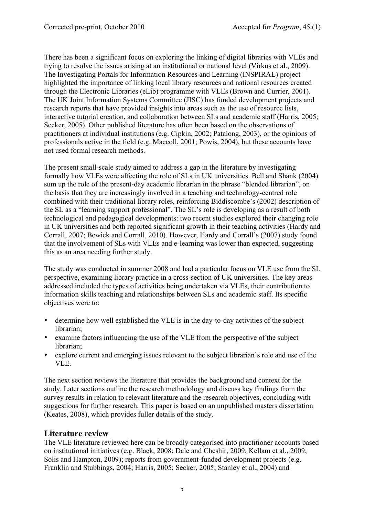There has been a significant focus on exploring the linking of digital libraries with VLEs and trying to resolve the issues arising at an institutional or national level (Virkus et al., 2009). The Investigating Portals for Information Resources and Learning (INSPIRAL) project highlighted the importance of linking local library resources and national resources created through the Electronic Libraries (eLib) programme with VLEs (Brown and Currier, 2001). The UK Joint Information Systems Committee (JISC) has funded development projects and research reports that have provided insights into areas such as the use of resource lists, interactive tutorial creation, and collaboration between SLs and academic staff (Harris, 2005; Secker, 2005). Other published literature has often been based on the observations of practitioners at individual institutions (e.g. Cipkin, 2002; Patalong, 2003), or the opinions of professionals active in the field (e.g. Maccoll, 2001; Powis, 2004), but these accounts have not used formal research methods.

The present small-scale study aimed to address a gap in the literature by investigating formally how VLEs were affecting the role of SLs in UK universities. Bell and Shank (2004) sum up the role of the present-day academic librarian in the phrase "blended librarian", on the basis that they are increasingly involved in a teaching and technology-centred role combined with their traditional library roles, reinforcing Biddiscombe's (2002) description of the SL as a "learning support professional". The SL's role is developing as a result of both technological and pedagogical developments: two recent studies explored their changing role in UK universities and both reported significant growth in their teaching activities (Hardy and Corrall, 2007; Bewick and Corrall, 2010). However, Hardy and Corrall's (2007) study found that the involvement of SLs with VLEs and e-learning was lower than expected, suggesting this as an area needing further study.

The study was conducted in summer 2008 and had a particular focus on VLE use from the SL perspective, examining library practice in a cross-section of UK universities. The key areas addressed included the types of activities being undertaken via VLEs, their contribution to information skills teaching and relationships between SLs and academic staff. Its specific objectives were to:

- determine how well established the VLE is in the day-to-day activities of the subject librarian;
- examine factors influencing the use of the VLE from the perspective of the subject librarian;
- explore current and emerging issues relevant to the subject librarian's role and use of the VLE.

The next section reviews the literature that provides the background and context for the study. Later sections outline the research methodology and discuss key findings from the survey results in relation to relevant literature and the research objectives, concluding with suggestions for further research. This paper is based on an unpublished masters dissertation (Keates, 2008), which provides fuller details of the study.

# **Literature review**

The VLE literature reviewed here can be broadly categorised into practitioner accounts based on institutional initiatives (e.g. Black, 2008; Dale and Cheshir, 2009; Kellam et al., 2009; Solis and Hampton, 2009); reports from government-funded development projects (e.g. Franklin and Stubbings, 2004; Harris, 2005; Secker, 2005; Stanley et al., 2004) and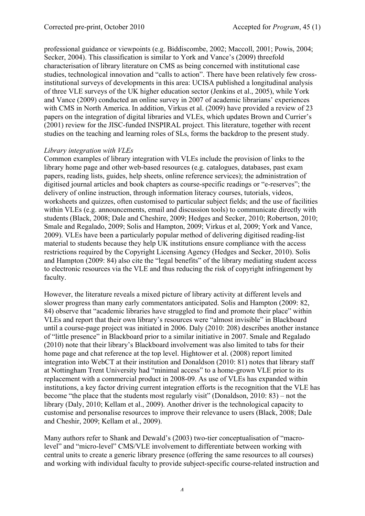professional guidance or viewpoints (e.g. Biddiscombe, 2002; Maccoll, 2001; Powis, 2004; Secker, 2004). This classification is similar to York and Vance's (2009) threefold characterisation of library literature on CMS as being concerned with institutional case studies, technological innovation and "calls to action". There have been relatively few crossinstitutional surveys of developments in this area: UCISA published a longitudinal analysis of three VLE surveys of the UK higher education sector (Jenkins et al., 2005), while York and Vance (2009) conducted an online survey in 2007 of academic librarians' experiences with CMS in North America. In addition, Virkus et al. (2009) have provided a review of 23 papers on the integration of digital libraries and VLEs, which updates Brown and Currier's (2001) review for the JISC-funded INSPIRAL project. This literature, together with recent studies on the teaching and learning roles of SLs, forms the backdrop to the present study.

### *Library integration with VLEs*

Common examples of library integration with VLEs include the provision of links to the library home page and other web-based resources (e.g. catalogues, databases, past exam papers, reading lists, guides, help sheets, online reference services); the administration of digitised journal articles and book chapters as course-specific readings or "e-reserves"; the delivery of online instruction, through information literacy courses, tutorials, videos, worksheets and quizzes, often customised to particular subject fields; and the use of facilities within VLEs (e.g. announcements, email and discussion tools) to communicate directly with students (Black, 2008; Dale and Cheshire, 2009; Hedges and Secker, 2010; Robertson, 2010; Smale and Regalado, 2009; Solis and Hampton, 2009; Virkus et al, 2009; York and Vance, 2009). VLEs have been a particularly popular method of delivering digitised reading-list material to students because they help UK institutions ensure compliance with the access restrictions required by the Copyright Licensing Agency (Hedges and Secker, 2010). Solis and Hampton (2009: 84) also cite the "legal benefits" of the library mediating student access to electronic resources via the VLE and thus reducing the risk of copyright infringement by faculty.

However, the literature reveals a mixed picture of library activity at different levels and slower progress than many early commentators anticipated. Solis and Hampton (2009: 82, 84) observe that "academic libraries have struggled to find and promote their place" within VLEs and report that their own library's resources were "almost invisible" in Blackboard until a course-page project was initiated in 2006. Daly (2010: 208) describes another instance of "little presence" in Blackboard prior to a similar initiative in 2007. Smale and Regalado (2010) note that their library's Blackboard involvement was also limited to tabs for their home page and chat reference at the top level. Hightower et al. (2008) report limited integration into WebCT at their institution and Donaldson (2010: 81) notes that library staff at Nottingham Trent University had "minimal access" to a home-grown VLE prior to its replacement with a commercial product in 2008-09. As use of VLEs has expanded within institutions, a key factor driving current integration efforts is the recognition that the VLE has become "the place that the students most regularly visit" (Donaldson, 2010: 83) – not the library (Daly, 2010; Kellam et al., 2009). Another driver is the technological capacity to customise and personalise resources to improve their relevance to users (Black, 2008; Dale and Cheshir, 2009; Kellam et al., 2009).

Many authors refer to Shank and Dewald's (2003) two-tier conceptualisation of "macrolevel" and "micro-level" CMS/VLE involvement to differentiate between working with central units to create a generic library presence (offering the same resources to all courses) and working with individual faculty to provide subject-specific course-related instruction and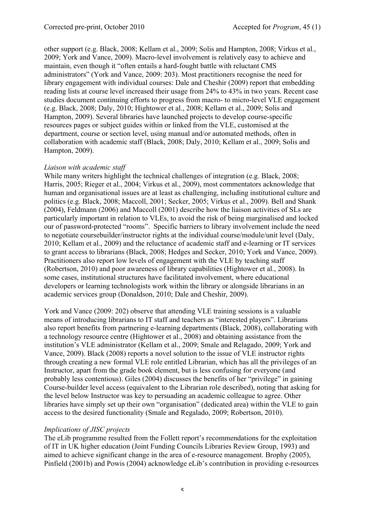other support (e.g. Black, 2008; Kellam et al., 2009; Solis and Hampton, 2008; Virkus et al., 2009; York and Vance, 2009). Macro-level involvement is relatively easy to achieve and maintain, even though it "often entails a hard-fought battle with reluctant CMS administrators" (York and Vance, 2009: 203). Most practitioners recognise the need for library engagement with individual courses: Dale and Cheshir (2009) report that embedding reading lists at course level increased their usage from 24% to 43% in two years. Recent case studies document continuing efforts to progress from macro- to micro-level VLE engagement (e.g. Black, 2008; Daly, 2010; Hightower et al., 2008; Kellam et al., 2009; Solis and Hampton, 2009). Several libraries have launched projects to develop course-specific resources pages or subject guides within or linked from the VLE, customised at the department, course or section level, using manual and/or automated methods, often in collaboration with academic staff (Black, 2008; Daly, 2010; Kellam et al., 2009; Solis and Hampton, 2009).

### *Liaison with academic staff*

While many writers highlight the technical challenges of integration (e.g. Black, 2008; Harris, 2005; Rieger et al., 2004; Virkus et al., 2009), most commentators acknowledge that human and organisational issues are at least as challenging, including institutional culture and politics (e.g. Black, 2008; Maccoll, 2001; Secker, 2005; Virkus et al., 2009). Bell and Shank (2004), Feldmann (2006) and Maccoll (2001) describe how the liaison activities of SLs are particularly important in relation to VLEs, to avoid the risk of being marginalised and locked our of password-protected "rooms". Specific barriers to library involvement include the need to negotiate coursebuilder/instructor rights at the individual course/module/unit level (Daly, 2010; Kellam et al., 2009) and the reluctance of academic staff and e-learning or IT services to grant access to librarians (Black, 2008; Hedges and Secker, 2010; York and Vance, 2009). Practitioners also report low levels of engagement with the VLE by teaching staff (Robertson, 2010) and poor awareness of library capabilities (Hightower et al., 2008). In some cases, institutional structures have facilitated involvement, where educational developers or learning technologists work within the library or alongside librarians in an academic services group (Donaldson, 2010; Dale and Cheshir, 2009).

York and Vance (2009: 202) observe that attending VLE training sessions is a valuable means of introducing librarians to IT staff and teachers as "interested players". Librarians also report benefits from partnering e-learning departments (Black, 2008), collaborating with a technology resource centre (Hightower et al., 2008) and obtaining assistance from the institution's VLE administrator (Kellam et al., 2009; Smale and Relagado, 2009; York and Vance, 2009). Black (2008) reports a novel solution to the issue of VLE instructor rights through creating a new formal VLE role entitled Librarian, which has all the privileges of an Instructor, apart from the grade book element, but is less confusing for everyone (and probably less contentious). Giles (2004) discusses the benefits of her "privilege" in gaining Course-builder level access (equivalent to the Librarian role described), noting that asking for the level below Instructor was key to persuading an academic colleague to agree. Other libraries have simply set up their own "organisation" (dedicated area) within the VLE to gain access to the desired functionality (Smale and Regalado, 2009; Robertson, 2010).

### *Implications of JISC projects*

The eLib programme resulted from the Follett report's recommendations for the exploitation of IT in UK higher education (Joint Funding Councils Libraries Review Group, 1993) and aimed to achieve significant change in the area of e-resource management. Brophy (2005), Pinfield (2001b) and Powis (2004) acknowledge eLib's contribution in providing e-resources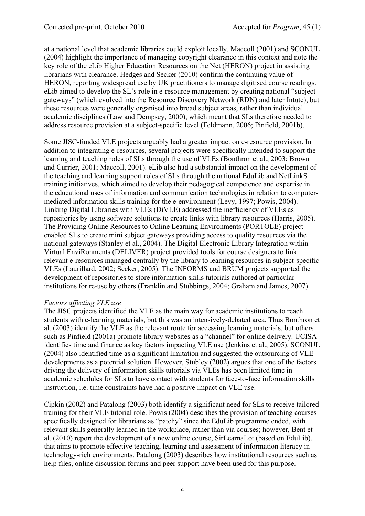at a national level that academic libraries could exploit locally. Maccoll (2001) and SCONUL (2004) highlight the importance of managing copyright clearance in this context and note the key role of the eLib Higher Education Resources on the Net (HERON) project in assisting librarians with clearance. Hedges and Secker (2010) confirm the continuing value of HERON, reporting widespread use by UK practitioners to manage digitised course readings. eLib aimed to develop the SL's role in e-resource management by creating national "subject gateways" (which evolved into the Resource Discovery Network (RDN) and later Intute), but these resources were generally organised into broad subject areas, rather than individual academic disciplines (Law and Dempsey, 2000), which meant that SLs therefore needed to address resource provision at a subject-specific level (Feldmann, 2006; Pinfield, 2001b).

Some JISC-funded VLE projects arguably had a greater impact on e-resource provision. In addition to integrating e-resources, several projects were specifically intended to support the learning and teaching roles of SLs through the use of VLEs (Bonthron et al., 2003; Brown and Currier, 2001; Maccoll, 2001). eLib also had a substantial impact on the development of the teaching and learning support roles of SLs through the national EduLib and NetLinkS training initiatives, which aimed to develop their pedagogical competence and expertise in the educational uses of information and communication technologies in relation to computermediated information skills training for the e-environment (Levy, 1997; Powis, 2004). Linking Digital Libraries with VLEs (DiVLE) addressed the inefficiency of VLEs as repositories by using software solutions to create links with library resources (Harris, 2005). The Providing Online Resources to Online Learning Environments (PORTOLE) project enabled SLs to create mini subject gateways providing access to quality resources via the national gateways (Stanley et al., 2004). The Digital Electronic Library Integration within Virtual EnviRonments (DELIVER) project provided tools for course designers to link relevant e-resources managed centrally by the library to learning resources in subject-specific VLEs (Laurillard, 2002; Secker, 2005). The INFORMS and BRUM projects supported the development of repositories to store information skills tutorials authored at particular institutions for re-use by others (Franklin and Stubbings, 2004; Graham and James, 2007).

### *Factors affecting VLE use*

The JISC projects identified the VLE as the main way for academic institutions to reach students with e-learning materials, but this was an intensively-debated area. Thus Bonthron et al. (2003) identify the VLE as the relevant route for accessing learning materials, but others such as Pinfield (2001a) promote library websites as a "channel" for online delivery. UCISA identifies time and finance as key factors impacting VLE use (Jenkins et al., 2005). SCONUL (2004) also identified time as a significant limitation and suggested the outsourcing of VLE developments as a potential solution. However, Stubley (2002) argues that one of the factors driving the delivery of information skills tutorials via VLEs has been limited time in academic schedules for SLs to have contact with students for face-to-face information skills instruction, i.e. time constraints have had a positive impact on VLE use.

Cipkin (2002) and Patalong (2003) both identify a significant need for SLs to receive tailored training for their VLE tutorial role. Powis (2004) describes the provision of teaching courses specifically designed for librarians as "patchy" since the EduLib programme ended, with relevant skills generally learned in the workplace, rather than via courses; however, Bent et al. (2010) report the development of a new online course, SirLearnaLot (based on EduLib), that aims to promote effective teaching, learning and assessment of information literacy in technology-rich environments. Patalong (2003) describes how institutional resources such as help files, online discussion forums and peer support have been used for this purpose.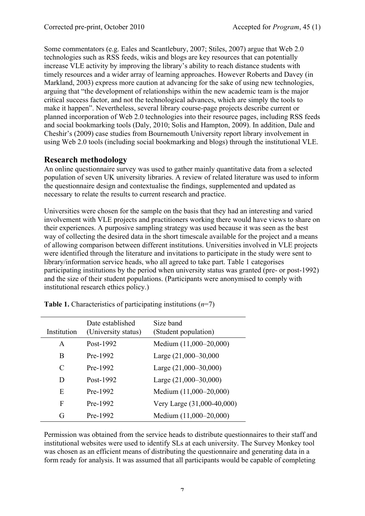Some commentators (e.g. Eales and Scantlebury, 2007; Stiles, 2007) argue that Web 2.0 technologies such as RSS feeds, wikis and blogs are key resources that can potentially increase VLE activity by improving the library's ability to reach distance students with timely resources and a wider array of learning approaches. However Roberts and Davey (in Markland, 2003) express more caution at advancing for the sake of using new technologies, arguing that "the development of relationships within the new academic team is the major critical success factor, and not the technological advances, which are simply the tools to make it happen". Nevertheless, several library course-page projects describe current or planned incorporation of Web 2.0 technologies into their resource pages, including RSS feeds and social bookmarking tools (Daly, 2010; Solis and Hampton, 2009). In addition, Dale and Cheshir's (2009) case studies from Bournemouth University report library involvement in using Web 2.0 tools (including social bookmarking and blogs) through the institutional VLE.

# **Research methodology**

An online questionnaire survey was used to gather mainly quantitative data from a selected population of seven UK university libraries. A review of related literature was used to inform the questionnaire design and contextualise the findings, supplemented and updated as necessary to relate the results to current research and practice.

Universities were chosen for the sample on the basis that they had an interesting and varied involvement with VLE projects and practitioners working there would have views to share on their experiences. A purposive sampling strategy was used because it was seen as the best way of collecting the desired data in the short timescale available for the project and a means of allowing comparison between different institutions. Universities involved in VLE projects were identified through the literature and invitations to participate in the study were sent to library/information service heads, who all agreed to take part. Table 1 categorises participating institutions by the period when university status was granted (pre- or post-1992) and the size of their student populations. (Participants were anonymised to comply with institutional research ethics policy.)

| Institution | Date established<br>(University status) | Size band<br>(Student population) |
|-------------|-----------------------------------------|-----------------------------------|
| A           | Post-1992                               | Medium (11,000–20,000)            |
| B           | Pre-1992                                | Large $(21,000-30,000)$           |
| C           | Pre-1992                                | Large $(21,000-30,000)$           |
| D           | Post-1992                               | Large $(21,000-30,000)$           |
| E           | Pre-1992                                | Medium (11,000–20,000)            |
| F           | Pre-1992                                | Very Large (31,000-40,000)        |
| G           | Pre-1992                                | Medium (11,000–20,000)            |

**Table 1.** Characteristics of participating institutions (*n*=7)

Permission was obtained from the service heads to distribute questionnaires to their staff and institutional websites were used to identify SLs at each university. The Survey Monkey tool was chosen as an efficient means of distributing the questionnaire and generating data in a form ready for analysis. It was assumed that all participants would be capable of completing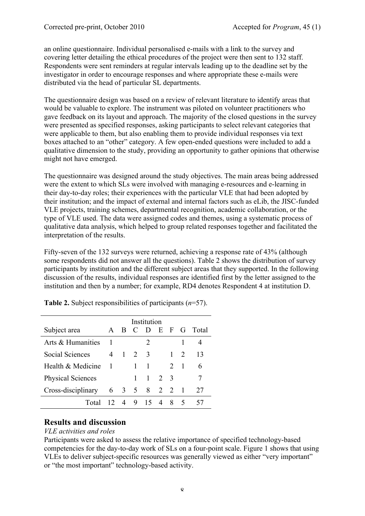an online questionnaire. Individual personalised e-mails with a link to the survey and covering letter detailing the ethical procedures of the project were then sent to 132 staff. Respondents were sent reminders at regular intervals leading up to the deadline set by the investigator in order to encourage responses and where appropriate these e-mails were distributed via the head of particular SL departments.

The questionnaire design was based on a review of relevant literature to identify areas that would be valuable to explore. The instrument was piloted on volunteer practitioners who gave feedback on its layout and approach. The majority of the closed questions in the survey were presented as specified responses, asking participants to select relevant categories that were applicable to them, but also enabling them to provide individual responses via text boxes attached to an "other" category. A few open-ended questions were included to add a qualitative dimension to the study, providing an opportunity to gather opinions that otherwise might not have emerged.

The questionnaire was designed around the study objectives. The main areas being addressed were the extent to which SLs were involved with managing e-resources and e-learning in their day-to-day roles; their experiences with the particular VLE that had been adopted by their institution; and the impact of external and internal factors such as eLib, the JISC-funded VLE projects, training schemes, departmental recognition, academic collaboration, or the type of VLE used. The data were assigned codes and themes, using a systematic process of qualitative data analysis, which helped to group related responses together and facilitated the interpretation of the results.

Fifty-seven of the 132 surveys were returned, achieving a response rate of 43% (although some respondents did not answer all the questions). Table 2 shows the distribution of survey participants by institution and the different subject areas that they supported. In the following discussion of the results, individual responses are identified first by the letter assigned to the institution and then by a number; for example, RD4 denotes Respondent 4 at institution D.

|                          | Institution  |                |                             |             |                                          |     |               |               |
|--------------------------|--------------|----------------|-----------------------------|-------------|------------------------------------------|-----|---------------|---------------|
| Subject area             | $\mathbf{A}$ | <sup>B</sup>   | $\mathcal{C}_{\mathcal{C}}$ |             |                                          |     |               | D E F G Total |
| Arts & Humanities        |              |                |                             | 2           |                                          |     |               | 4             |
| <b>Social Sciences</b>   | 4            | $\overline{1}$ |                             | $2 \quad 3$ |                                          | - 1 | $\mathcal{L}$ | 13            |
| Health $&$ Medicine 1    |              |                |                             | 1           |                                          | 2   |               | 6             |
| <b>Physical Sciences</b> |              |                |                             | $\pm$       | $\begin{array}{ccc} & 2 & 3 \end{array}$ |     |               |               |
| Cross-disciplinary       |              |                | 6 3 5                       |             | 8 2 2 1                                  |     |               | 27            |
| Total                    |              | $\overline{4}$ | 9                           | 15          | $\overline{4}$                           | 8   | -5            |               |

**Table 2.** Subject responsibilities of participants (*n*=57).

## **Results and discussion**

#### *VLE activities and roles*

Participants were asked to assess the relative importance of specified technology-based competencies for the day-to-day work of SLs on a four-point scale. Figure 1 shows that using VLEs to deliver subject-specific resources was generally viewed as either "very important" or "the most important" technology-based activity.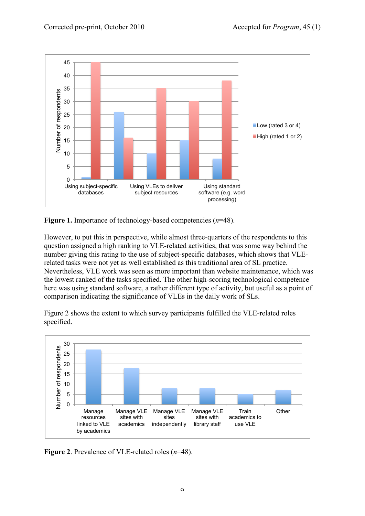

**Figure 1.** Importance of technology-based competencies (*n*=48).

However, to put this in perspective, while almost three-quarters of the respondents to this question assigned a high ranking to VLE-related activities, that was some way behind the number giving this rating to the use of subject-specific databases, which shows that VLErelated tasks were not yet as well established as this traditional area of SL practice. Nevertheless, VLE work was seen as more important than website maintenance, which was the lowest ranked of the tasks specified. The other high-scoring technological competence here was using standard software, a rather different type of activity, but useful as a point of comparison indicating the significance of VLEs in the daily work of SLs.

Figure 2 shows the extent to which survey participants fulfilled the VLE-related roles specified.



**Figure 2**. Prevalence of VLE-related roles (*n*=48).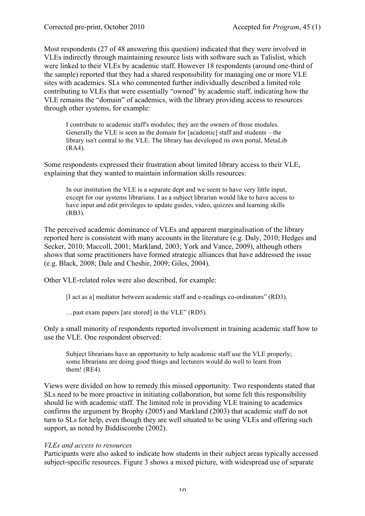Most respondents (27 of 48 answering this question) indicated that they were involved in VLEs indirectly through maintaining resource lists with software such as Talislist, which were linked to their VLEs by academic staff. However 18 respondents (around one-third of the sample) reported that they had a shared responsibility for managing one or more VLE sites with academics. SLs who commented further individually described a limited role contributing to VLEs that were essentially "owned" by academic staff, indicating how the VLE remains the "domain" of academics, with the library providing access to resources through other systems, for example:

I contribute to academic staff's modules; they are the owners of those modules. Generally the VLE is seen as the domain for [academic] staff and students – the library isn't central to the VLE. The library has developed its own portal, MetaLib (RA4).

Some respondents expressed their frustration about limited library access to their VLE, explaining that they wanted to maintain information skills resources:

In our institution the VLE is a separate dept and we seem to have very little input, except for our systems librarians. I as a subject librarian would like to have access to have input and edit privileges to update guides, video, quizzes and learning skills (RB3).

The perceived academic dominance of VLEs and apparent marginalisation of the library reported here is consistent with many accounts in the literature (e.g. Daly, 2010; Hedges and Secker, 2010; Maccoll, 2001; Markland, 2003; York and Vance, 2009), although others shows that some practitioners have formed strategic alliances that have addressed the issue (e.g. Black, 2008; Dale and Cheshir, 2009; Giles, 2004).

Other VLE-related roles were also described, for example:

[I act as a] mediator between academic staff and e-readings co-ordinators" (RD3).

…past exam papers [are stored] in the VLE" (RD5).

Only a small minority of respondents reported involvement in training academic staff how to use the VLE. One respondent observed:

Subject librarians have an opportunity to help academic staff use the VLE properly; some librarians are doing good things and lecturers would do well to learn from them! (RE4).

Views were divided on how to remedy this missed opportunity. Two respondents stated that SLs need to be more proactive in initiating collaboration, but some felt this responsibility should lie with academic staff. The limited role in providing VLE training to academics confirms the argument by Brophy (2005) and Markland (2003) that academic staff do not turn to SLs for help, even though they are well situated to be using VLEs and offering such support, as noted by Biddiscombe (2002).

#### *VLEs and access to resources*

Participants were also asked to indicate how students in their subject areas typically accessed subject-specific resources. Figure 3 shows a mixed picture, with widespread use of separate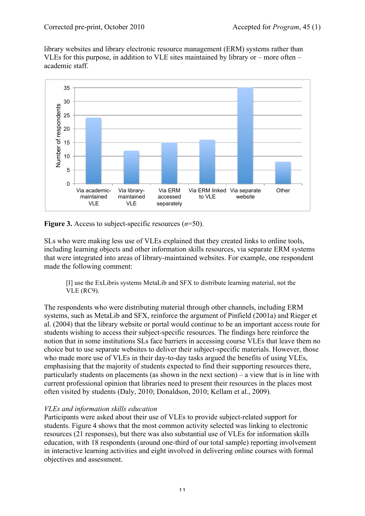library websites and library electronic resource management (ERM) systems rather than VLEs for this purpose, in addition to VLE sites maintained by library or – more often – academic staff.



**Figure 3.** Access to subject-specific resources (*n*=50).

SLs who were making less use of VLEs explained that they created links to online tools, including learning objects and other information skills resources, via separate ERM systems that were integrated into areas of library-maintained websites. For example, one respondent made the following comment:

[I] use the ExLibris systems MetaLib and SFX to distribute learning material, not the VLE (RC9).

The respondents who were distributing material through other channels, including ERM systems, such as MetaLib and SFX, reinforce the argument of Pinfield (2001a) and Rieger et al. (2004) that the library website or portal would continue to be an important access route for students wishing to access their subject-specific resources. The findings here reinforce the notion that in some institutions SLs face barriers in accessing course VLEs that leave them no choice but to use separate websites to deliver their subject-specific materials. However, those who made more use of VLEs in their day-to-day tasks argued the benefits of using VLEs, emphasising that the majority of students expected to find their supporting resources there, particularly students on placements (as shown in the next section) – a view that is in line with current professional opinion that libraries need to present their resources in the places most often visited by students (Daly, 2010; Donaldson, 2010; Kellam et al., 2009).

## *VLEs and information skills education*

Participants were asked about their use of VLEs to provide subject-related support for students. Figure 4 shows that the most common activity selected was linking to electronic resources (21 responses), but there was also substantial use of VLEs for information skills education, with 18 respondents (around one-third of our total sample) reporting involvement in interactive learning activities and eight involved in delivering online courses with formal objectives and assessment.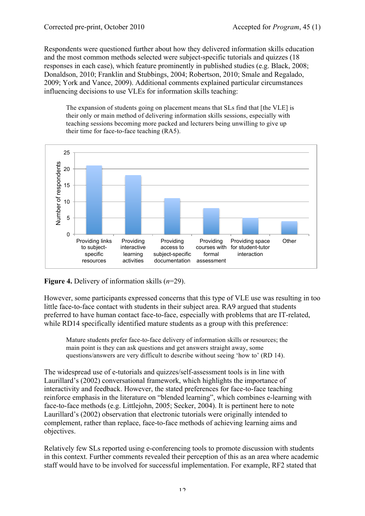Respondents were questioned further about how they delivered information skills education and the most common methods selected were subject-specific tutorials and quizzes (18 responses in each case), which feature prominently in published studies (e.g. Black, 2008; Donaldson, 2010; Franklin and Stubbings, 2004; Robertson, 2010; Smale and Regalado, 2009; York and Vance, 2009). Additional comments explained particular circumstances influencing decisions to use VLEs for information skills teaching:

The expansion of students going on placement means that SLs find that [the VLE] is their only or main method of delivering information skills sessions, especially with teaching sessions becoming more packed and lecturers being unwilling to give up their time for face-to-face teaching (RA5).



**Figure 4.** Delivery of information skills (*n*=29).

However, some participants expressed concerns that this type of VLE use was resulting in too little face-to-face contact with students in their subject area. RA9 argued that students preferred to have human contact face-to-face, especially with problems that are IT-related, while RD14 specifically identified mature students as a group with this preference:

Mature students prefer face-to-face delivery of information skills or resources; the main point is they can ask questions and get answers straight away, some questions/answers are very difficult to describe without seeing 'how to' (RD 14).

The widespread use of e-tutorials and quizzes/self-assessment tools is in line with Laurillard's (2002) conversational framework, which highlights the importance of interactivity and feedback. However, the stated preferences for face-to-face teaching reinforce emphasis in the literature on "blended learning", which combines e-learning with face-to-face methods (e.g. Littlejohn, 2005; Secker, 2004). It is pertinent here to note Laurillard's (2002) observation that electronic tutorials were originally intended to complement, rather than replace, face-to-face methods of achieving learning aims and objectives.

Relatively few SLs reported using e-conferencing tools to promote discussion with students in this context. Further comments revealed their perception of this as an area where academic staff would have to be involved for successful implementation. For example, RF2 stated that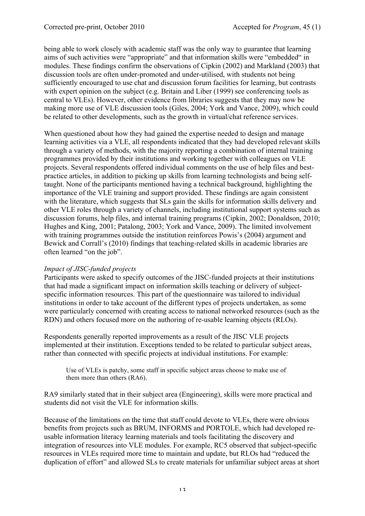being able to work closely with academic staff was the only way to guarantee that learning aims of such activities were "appropriate" and that information skills were "embedded" in modules. These findings confirm the observations of Cipkin (2002) and Markland (2003) that discussion tools are often under-promoted and under-utilised, with students not being sufficiently encouraged to use chat and discussion forum facilities for learning, but contrasts with expert opinion on the subject (e.g. Britain and Liber (1999) see conferencing tools as central to VLEs). However, other evidence from libraries suggests that they may now be making more use of VLE discussion tools (Giles, 2004; York and Vance, 2009), which could be related to other developments, such as the growth in virtual/chat reference services.

When questioned about how they had gained the expertise needed to design and manage learning activities via a VLE, all respondents indicated that they had developed relevant skills through a variety of methods, with the majority reporting a combination of internal training programmes provided by their institutions and working together with colleagues on VLE projects. Several respondents offered individual comments on the use of help files and bestpractice articles, in addition to picking up skills from learning technologists and being selftaught. None of the participants mentioned having a technical background, highlighting the importance of the VLE training and support provided. These findings are again consistent with the literature, which suggests that SLs gain the skills for information skills delivery and other VLE roles through a variety of channels, including institutional support systems such as discussion forums, help files, and internal training programs (Cipkin, 2002; Donaldson, 2010; Hughes and King, 2001; Patalong, 2003; York and Vance, 2009). The limited involvement with training programmes outside the institution reinforces Powis's (2004) argument and Bewick and Corrall's (2010) findings that teaching-related skills in academic libraries are often learned "on the job".

### *Impact of JISC-funded projects*

Participants were asked to specify outcomes of the JISC-funded projects at their institutions that had made a significant impact on information skills teaching or delivery of subjectspecific information resources. This part of the questionnaire was tailored to individual institutions in order to take account of the different types of projects undertaken, as some were particularly concerned with creating access to national networked resources (such as the RDN) and others focused more on the authoring of re-usable learning objects (RLOs).

Respondents generally reported improvements as a result of the JISC VLE projects implemented at their institution. Exceptions tended to be related to particular subject areas, rather than connected with specific projects at individual institutions. For example:

Use of VLEs is patchy, some staff in specific subject areas choose to make use of them more than others (RA6).

RA9 similarly stated that in their subject area (Engineering), skills were more practical and students did not visit the VLE for information skills.

Because of the limitations on the time that staff could devote to VLEs, there were obvious benefits from projects such as BRUM, INFORMS and PORTOLE, which had developed reusable information literacy learning materials and tools facilitating the discovery and integration of resources into VLE modules. For example, RC5 observed that subject-specific resources in VLEs required more time to maintain and update, but RLOs had "reduced the duplication of effort" and allowed SLs to create materials for unfamiliar subject areas at short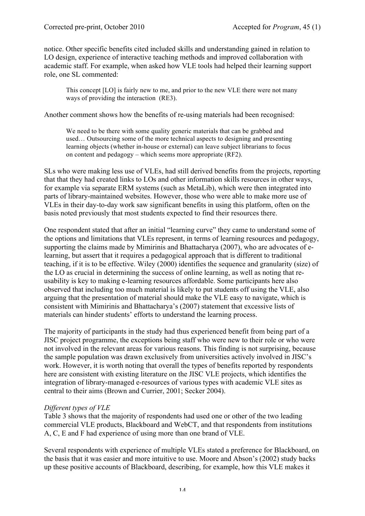notice. Other specific benefits cited included skills and understanding gained in relation to LO design, experience of interactive teaching methods and improved collaboration with academic staff. For example, when asked how VLE tools had helped their learning support role, one SL commented:

This concept [LO] is fairly new to me, and prior to the new VLE there were not many ways of providing the interaction (RE3).

Another comment shows how the benefits of re-using materials had been recognised:

We need to be there with some quality generic materials that can be grabbed and used… Outsourcing some of the more technical aspects to designing and presenting learning objects (whether in-house or external) can leave subject librarians to focus on content and pedagogy – which seems more appropriate (RF2).

SLs who were making less use of VLEs, had still derived benefits from the projects, reporting that that they had created links to LOs and other information skills resources in other ways, for example via separate ERM systems (such as MetaLib), which were then integrated into parts of library-maintained websites. However, those who were able to make more use of VLEs in their day-to-day work saw significant benefits in using this platform, often on the basis noted previously that most students expected to find their resources there.

One respondent stated that after an initial "learning curve" they came to understand some of the options and limitations that VLEs represent, in terms of learning resources and pedagogy, supporting the claims made by Mimirinis and Bhattacharya (2007), who are advocates of elearning, but assert that it requires a pedagogical approach that is different to traditional teaching, if it is to be effective. Wiley (2000) identifies the sequence and granularity (size) of the LO as crucial in determining the success of online learning, as well as noting that reusability is key to making e-learning resources affordable. Some participants here also observed that including too much material is likely to put students off using the VLE, also arguing that the presentation of material should make the VLE easy to navigate, which is consistent with Mimirinis and Bhattacharya's (2007) statement that excessive lists of materials can hinder students' efforts to understand the learning process.

The majority of participants in the study had thus experienced benefit from being part of a JISC project programme, the exceptions being staff who were new to their role or who were not involved in the relevant areas for various reasons. This finding is not surprising, because the sample population was drawn exclusively from universities actively involved in JISC's work. However, it is worth noting that overall the types of benefits reported by respondents here are consistent with existing literature on the JISC VLE projects, which identifies the integration of library-managed e-resources of various types with academic VLE sites as central to their aims (Brown and Currier, 2001; Secker 2004).

### *Different types of VLE*

Table 3 shows that the majority of respondents had used one or other of the two leading commercial VLE products, Blackboard and WebCT, and that respondents from institutions A, C, E and F had experience of using more than one brand of VLE.

Several respondents with experience of multiple VLEs stated a preference for Blackboard, on the basis that it was easier and more intuitive to use. Moore and Abson's (2002) study backs up these positive accounts of Blackboard, describing, for example, how this VLE makes it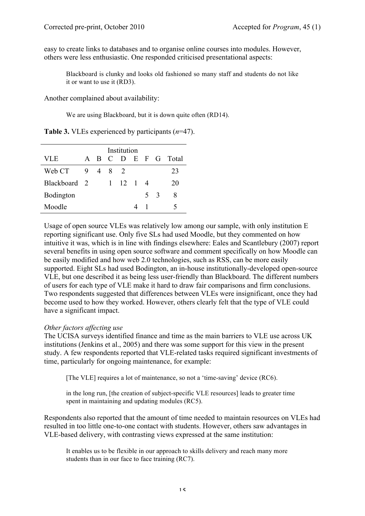easy to create links to databases and to organise online courses into modules. However, others were less enthusiastic. One responded criticised presentational aspects:

Blackboard is clunky and looks old fashioned so many staff and students do not like it or want to use it (RD3).

Another complained about availability:

We are using Blackboard, but it is down quite often (RD14).

|              | Institution |   |                |        |  |  |                |                     |  |
|--------------|-------------|---|----------------|--------|--|--|----------------|---------------------|--|
| <b>VLE</b>   |             |   |                |        |  |  |                | A B C D E F G Total |  |
| Web CT       | 9           | 4 |                | 8 2    |  |  |                | 23                  |  |
| Blackboard 2 |             |   | $\overline{1}$ | 12 1 4 |  |  |                | 20                  |  |
| Bodington    |             |   |                |        |  |  | 5 <sup>3</sup> |                     |  |
| Moodle       |             |   |                |        |  |  |                |                     |  |

**Table 3.** VLEs experienced by participants (*n*=47).

Usage of open source VLEs was relatively low among our sample, with only institution E reporting significant use. Only five SLs had used Moodle, but they commented on how intuitive it was, which is in line with findings elsewhere: Eales and Scantlebury (2007) report several benefits in using open source software and comment specifically on how Moodle can be easily modified and how web 2.0 technologies, such as RSS, can be more easily supported. Eight SLs had used Bodington, an in-house institutionally-developed open-source VLE, but one described it as being less user-friendly than Blackboard. The different numbers of users for each type of VLE make it hard to draw fair comparisons and firm conclusions. Two respondents suggested that differences between VLEs were insignificant, once they had become used to how they worked. However, others clearly felt that the type of VLE could have a significant impact.

#### *Other factors affecting use*

The UCISA surveys identified finance and time as the main barriers to VLE use across UK institutions (Jenkins et al., 2005) and there was some support for this view in the present study. A few respondents reported that VLE-related tasks required significant investments of time, particularly for ongoing maintenance, for example:

[The VLE] requires a lot of maintenance, so not a 'time-saving' device (RC6).

in the long run, [the creation of subject-specific VLE resources] leads to greater time spent in maintaining and updating modules (RC5).

Respondents also reported that the amount of time needed to maintain resources on VLEs had resulted in too little one-to-one contact with students. However, others saw advantages in VLE-based delivery, with contrasting views expressed at the same institution:

It enables us to be flexible in our approach to skills delivery and reach many more students than in our face to face training (RC7).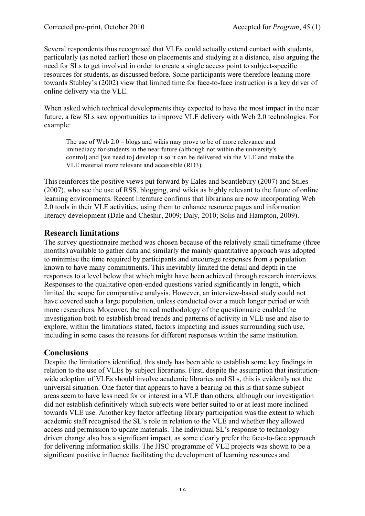Several respondents thus recognised that VLEs could actually extend contact with students, particularly (as noted earlier) those on placements and studying at a distance, also arguing the need for SLs to get involved in order to create a single access point to subject-specific resources for students, as discussed before. Some participants were therefore leaning more towards Stubley's (2002) view that limited time for face-to-face instruction is a key driver of online delivery via the VLE.

When asked which technical developments they expected to have the most impact in the near future, a few SLs saw opportunities to improve VLE delivery with Web 2.0 technologies. For example:

The use of Web 2.0 – blogs and wikis may prove to be of more relevance and immediacy for students in the near future (although not within the university's control) and [we need to] develop it so it can be delivered via the VLE and make the VLE material more relevant and accessible (RD3).

This reinforces the positive views put forward by Eales and Scantlebury (2007) and Stiles (2007), who see the use of RSS, blogging, and wikis as highly relevant to the future of online learning environments. Recent literature confirms that librarians are now incorporating Web 2.0 tools in their VLE activities, using them to enhance resource pages and information literacy development (Dale and Cheshir, 2009; Daly, 2010; Solis and Hampton, 2009).

# **Research limitations**

The survey questionnaire method was chosen because of the relatively small timeframe (three months) available to gather data and similarly the mainly quantitative approach was adopted to minimise the time required by participants and encourage responses from a population known to have many commitments. This inevitably limited the detail and depth in the responses to a level below that which might have been achieved through research interviews. Responses to the qualitative open-ended questions varied significantly in length, which limited the scope for comparative analysis. However, an interview-based study could not have covered such a large population, unless conducted over a much longer period or with more researchers. Moreover, the mixed methodology of the questionnaire enabled the investigation both to establish broad trends and patterns of activity in VLE use and also to explore, within the limitations stated, factors impacting and issues surrounding such use, including in some cases the reasons for different responses within the same institution.

## **Conclusions**

Despite the limitations identified, this study has been able to establish some key findings in relation to the use of VLEs by subject librarians. First, despite the assumption that institutionwide adoption of VLEs should involve academic libraries and SLs, this is evidently not the universal situation. One factor that appears to have a bearing on this is that some subject areas seem to have less need for or interest in a VLE than others, although our investigation did not establish definitively which subjects were better suited to or at least more inclined towards VLE use. Another key factor affecting library participation was the extent to which academic staff recognised the SL's role in relation to the VLE and whether they allowed access and permission to update materials. The individual SL's response to technologydriven change also has a significant impact, as some clearly prefer the face-to-face approach for delivering information skills. The JISC programme of VLE projects was shown to be a significant positive influence facilitating the development of learning resources and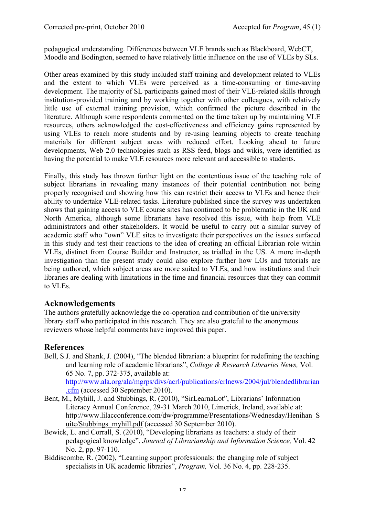pedagogical understanding. Differences between VLE brands such as Blackboard, WebCT, Moodle and Bodington, seemed to have relatively little influence on the use of VLEs by SLs.

Other areas examined by this study included staff training and development related to VLEs and the extent to which VLEs were perceived as a time-consuming or time-saving development. The majority of SL participants gained most of their VLE-related skills through institution-provided training and by working together with other colleagues, with relatively little use of external training provision, which confirmed the picture described in the literature. Although some respondents commented on the time taken up by maintaining VLE resources, others acknowledged the cost-effectiveness and efficiency gains represented by using VLEs to reach more students and by re-using learning objects to create teaching materials for different subject areas with reduced effort. Looking ahead to future developments, Web 2.0 technologies such as RSS feed, blogs and wikis, were identified as having the potential to make VLE resources more relevant and accessible to students.

Finally, this study has thrown further light on the contentious issue of the teaching role of subject librarians in revealing many instances of their potential contribution not being properly recognised and showing how this can restrict their access to VLEs and hence their ability to undertake VLE-related tasks. Literature published since the survey was undertaken shows that gaining access to VLE course sites has continued to be problematic in the UK and North America, although some librarians have resolved this issue, with help from VLE administrators and other stakeholders. It would be useful to carry out a similar survey of academic staff who "own" VLE sites to investigate their perspectives on the issues surfaced in this study and test their reactions to the idea of creating an official Librarian role within VLEs, distinct from Course Builder and Instructor, as trialled in the US. A more in-depth investigation than the present study could also explore further how LOs and tutorials are being authored, which subject areas are more suited to VLEs, and how institutions and their libraries are dealing with limitations in the time and financial resources that they can commit to VLEs.

## **Acknowledgements**

The authors gratefully acknowledge the co-operation and contribution of the university library staff who participated in this research. They are also grateful to the anonymous reviewers whose helpful comments have improved this paper.

## **References**

- Bell, S.J. and Shank, J. (2004), "The blended librarian: a blueprint for redefining the teaching and learning role of academic librarians", *College & Research Libraries News,* Vol. 65 No. 7, pp. 372-375, available at: http://www.ala.org/ala/mgrps/divs/acrl/publications/crlnews/2004/jul/blendedlibrarian .cfm (accessed 30 September 2010).
- Bent, M., Myhill, J. and Stubbings, R. (2010), "SirLearnaLot", Librarians' Information Literacy Annual Conference, 29-31 March 2010, Limerick, Ireland, available at: http://www.lilacconference.com/dw/programme/Presentations/Wednesday/Henihan\_S uite/Stubbings\_myhill.pdf (accessed 30 September 2010).
- Bewick, L. and Corrall, S. (2010), "Developing librarians as teachers: a study of their pedagogical knowledge", *Journal of Librarianship and Information Science,* Vol. 42 No. 2, pp. 97-110.
- Biddiscombe, R. (2002), "Learning support professionals: the changing role of subject specialists in UK academic libraries", *Program,* Vol. 36 No. 4, pp. 228-235.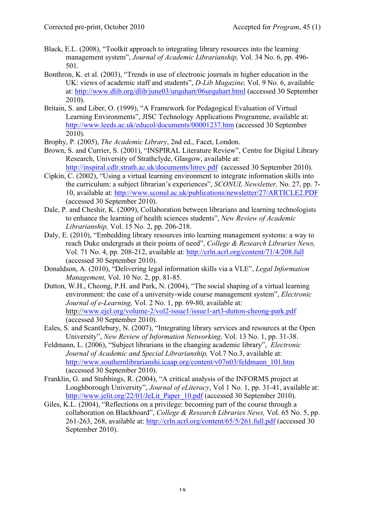- Black, E.L. (2008), "Toolkit approach to integrating library resources into the learning management system", *Journal of Academic Librarianship,* Vol. 34 No. 6, pp. 496- 501.
- Bonthron, K. et al. (2003), "Trends in use of electronic journals in higher education in the UK: views of academic staff and students", *D-Lib Magazine,* Vol. 9 No. 6, available at: http://www.dlib.org/dlib/june03/urquhart/06urquhart.html (accessed 30 September 2010).
- Britain, S. and Liber, O. (1999), "A Framework for Pedagogical Evaluation of Virtual Learning Environments", JISC Technology Applications Programme, available at: http://www.leeds.ac.uk/educol/documents/00001237.htm (accessed 30 September 2010).
- Brophy, P. (2005), *The Academic Library*, 2nd ed., Facet, London.
- Brown, S. and Currier, S. (2001), "INSPIRAL Literature Review", Centre for Digital Library Research, University of Strathclyde, Glasgow, available at: http://inspiral.cdlr.strath.ac.uk/documents/litrev.pdf (accessed 30 September 2010).
- Cipkin, C. (2002), "Using a virtual learning environment to integrate information skills into the curriculum: a subject librarian's experiences", *SCONUL Newsletter,* No. 27, pp. 7- 10, available at: http://www.sconul.ac.uk/publications/newsletter/27/ARTICLE2.PDF (accessed 30 September 2010).
- Dale, P. and Cheshir, K. (2009), Collaboration between librarians and learning technologists to enhance the learning of health sciences students", *New Review of Academic Librarianship,* Vol. 15 No. 2, pp. 206-218.
- Daly, E. (2010), "Embedding library resources into learning management systems: a way to reach Duke undergrads at their points of need", *College & Research Libraries News,*  Vol. 71 No. 4, pp. 208-212, available at: http://crln.acrl.org/content/71/4/208.full (accessed 30 September 2010).
- Donaldson, A. (2010), "Delivering legal information skills via a VLE", *Legal Information Management,* Vol. 10 No. 2, pp. 81-85.
- Dutton, W.H., Cheong, P.H. and Park, N. (2004), "The social shaping of a virtual learning environment: the case of a university-wide course management system", *Electronic Journal of e-Learning,* Vol. 2 No. 1, pp. 69-80, available at: http://www.ejel.org/volume-2/vol2-issue1/issue1-art3-dutton-cheong-park.pdf (accessed 30 September 2010).
- Eales, S. and Scantlebury, N. (2007), "Integrating library services and resources at the Open University", *New Review of Information Networking,* Vol. 13 No. 1, pp. 31-38.
- Feldmann, L. (2006), "Subject librarians in the changing academic library", *Electronic Journal of Academic and Special Librarianship,* Vol.7 No.3, available at: http://www.southernlibrarianshi.icaap.org/content/v07n03/feldmann\_101.htm (accessed 30 September 2010).
- Franklin, G. and Stubbings, R. (2004), "A critical analysis of the INFORMS project at Loughborough University", *Journal of eLiteracy*, Vol 1 No. 1, pp. 31-41, available at: http://www.jelit.org/22/01/JeLit\_Paper\_10.pdf (accessed 30 September 2010).
- Giles, K.L. (2004), "Reflections on a privilege: becoming part of the course through a collaboration on Blackboard", *College & Research Libraries News,* Vol. 65 No. 5, pp. 261-263, 268, available at: http://crln.acrl.org/content/65/5/261.full.pdf (accessed 30 September 2010).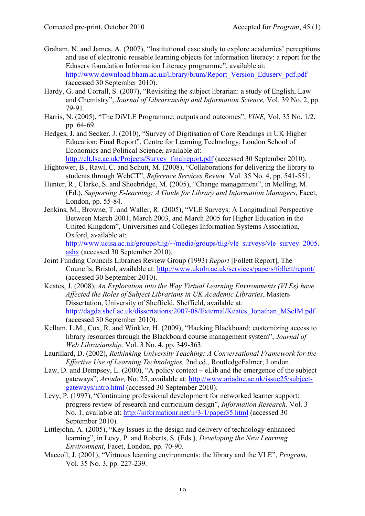- Graham, N. and James, A. (2007), "Institutional case study to explore academics' perceptions and use of electronic reusable learning objects for information literacy: a report for the Eduserv foundation Information Literacy programme", available at: http://www.download.bham.ac.uk/library/brum/Report\_Version\_Eduserv\_pdf.pdf (accessed 30 September 2010).
- Hardy, G. and Corrall, S. (2007), "Revisiting the subject librarian: a study of English, Law and Chemistry", *Journal of Librarianship and Information Science,* Vol. 39 No. 2, pp. 79-91.
- Harris, N. (2005), "The DiVLE Programme: outputs and outcomes", *VINE,* Vol. 35 No. 1/2, pp. 64-69.
- Hedges, J. and Secker, J. (2010), "Survey of Digitisation of Core Readings in UK Higher Education: Final Report", Centre for Learning Technology, London School of Economics and Political Science, available at:

http://clt.lse.ac.uk/Projects/Survey\_finalreport.pdf (accessed 30 September 2010).

- Hightower, B., Rawl, C. and Schutt, M. (2008), "Collaborations for delivering the library to students through WebCT", *Reference Services Review,* Vol. 35 No. 4, pp. 541-551.
- Hunter, R., Clarke, S. and Shoebridge, M. (2005), "Change management", in Melling, M. (Ed.), *Supporting E-learning: A Guide for Library and Information Managers*, Facet, London, pp. 55-84.
- Jenkins, M., Browne, T. and Waller, R. (2005), "VLE Surveys: A Longitudinal Perspective Between March 2001, March 2003, and March 2005 for Higher Education in the United Kingdom", Universities and Colleges Information Systems Association, Oxford, available at:

http://www.ucisa.ac.uk/groups/tlig/~/media/groups/tlig/vle\_surveys/vle\_survey\_2005. ashx (accessed 30 September 2010).

- Joint Funding Councils Libraries Review Group (1993) *Report* [Follett Report], The Councils, Bristol, available at: http://www.ukoln.ac.uk/services/papers/follett/report/ (accessed 30 September 2010).
- Keates, J. (2008), *An Exploration into the Way Virtual Learning Environments (VLEs) have Affected the Roles of Subject Librarians in UK Academic Libraries*, Masters Dissertation, University of Sheffield, Sheffield, available at: http://dagda.shef.ac.uk/dissertations/2007-08/External/Keates\_Jonathan\_MScIM.pdf (accessed 30 September 2010).
- Kellam, L.M., Cox, R. and Winkler, H. (2009), "Hacking Blackboard: customizing access to library resources through the Blackboard course management system", *Journal of Web Librarianship,* Vol. 3 No. 4, pp. 349-363.
- Laurillard, D. (2002), *Rethinking University Teaching: A Conversational Framework for the Effective Use of Learning Technologies,* 2nd ed., RoutledgeFalmer, London.
- Law, D. and Dempsey, L. (2000), "A policy context eLib and the emergence of the subject gateways", *Ariadne,* No. 25, available at: http://www.ariadne.ac.uk/issue25/subjectgateways/intro.html (accessed 30 September 2010).
- Levy, P. (1997), "Continuing professional development for networked learner support: progress review of research and curriculum design", *Information Research,* Vol. 3 No. 1, available at: http://informationr.net/ir/3-1/paper35.html (accessed 30 September 2010).
- Littlejohn, A. (2005), "Key Issues in the design and delivery of technology-enhanced learning", in Levy, P. and Roberts, S. (Eds.), *Developing the New Learning Environment*, Facet, London, pp. 70-90.
- Maccoll, J. (2001), "Virtuous learning environments: the library and the VLE", *Program*, Vol. 35 No. 3, pp. 227-239.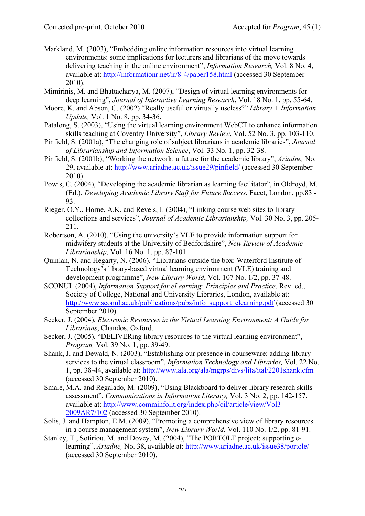- Markland, M. (2003), "Embedding online information resources into virtual learning environments: some implications for lecturers and librarians of the move towards delivering teaching in the online environment", *Information Research,* Vol. 8 No. 4, available at: http://informationr.net/ir/8-4/paper158.html (accessed 30 September 2010).
- Mimirinis, M. and Bhattacharya, M. (2007), "Design of virtual learning environments for deep learning", *Journal of Interactive Learning Research*, Vol. 18 No. 1, pp. 55-64.
- Moore, K. and Abson, C. (2002) "Really useful or virtually useless?" *Library + Information Update,* Vol. 1 No. 8, pp. 34-36.
- Patalong, S. (2003), "Using the virtual learning environment WebCT to enhance information skills teaching at Coventry University", *Library Review*, Vol. 52 No. 3, pp. 103-110.
- Pinfield, S. (2001a), "The changing role of subject librarians in academic libraries", *Journal of Librarianship and Information Science*, Vol. 33 No. 1, pp. 32-38.
- Pinfield, S. (2001b), "Working the network: a future for the academic library", *Ariadne,* No. 29, available at: http://www.ariadne.ac.uk/issue29/pinfield/ (accessed 30 September 2010).
- Powis, C. (2004), "Developing the academic librarian as learning facilitator", in Oldroyd, M. (Ed.), *Developing Academic Library Staff for Future Success*, Facet, London, pp.83 - 93.
- Rieger, O.Y., Horne, A.K. and Revels, I. (2004), "Linking course web sites to library collections and services", *Journal of Academic Librarianship,* Vol. 30 No. 3, pp. 205- 211.
- Robertson, A. (2010), "Using the university's VLE to provide information support for midwifery students at the University of Bedfordshire", *New Review of Academic Librarianship,* Vol. 16 No. 1, pp. 87-101.
- Quinlan, N. and Hegarty, N. (2006), "Librarians outside the box: Waterford Institute of Technology's library-based virtual learning environment (VLE) training and development programme", *New Library World*, Vol. 107 No. 1/2, pp. 37-48.
- SCONUL (2004), *Information Support for eLearning: Principles and Practice,* Rev. ed., Society of College, National and University Libraries, London, available at: http://www.sconul.ac.uk/publications/pubs/info\_support\_elearning.pdf (accessed 30) September 2010).
- Secker, J. (2004), *Electronic Resources in the Virtual Learning Environment: A Guide for Librarians*, Chandos, Oxford.
- Secker, J. (2005), "DELIVERing library resources to the virtual learning environment", *Program,* Vol. 39 No. 1, pp. 39-49.
- Shank, J. and Dewald, N. (2003), "Establishing our presence in courseware: adding library services to the virtual classroom", *Information Technology and Libraries,* Vol. 22 No. 1, pp. 38-44, available at: http://www.ala.org/ala/mgrps/divs/lita/ital/2201shank.cfm (accessed 30 September 2010).
- Smale, M.A. and Regalado, M. (2009), "Using Blackboard to deliver library research skills assessment", *Communications in Information Literacy,* Vol. 3 No. 2, pp. 142-157, available at: http://www.comminfolit.org/index.php/cil/article/view/Vol3- 2009AR7/102 (accessed 30 September 2010).
- Solis, J. and Hampton, E.M. (2009), "Promoting a comprehensive view of library resources in a course management system", *New Library World,* Vol. 110 No. 1/2, pp. 81-91.
- Stanley, T., Sotiriou, M. and Dovey, M. (2004), "The PORTOLE project: supporting elearning", *Ariadne,* No. 38, available at: http://www.ariadne.ac.uk/issue38/portole/ (accessed 30 September 2010).